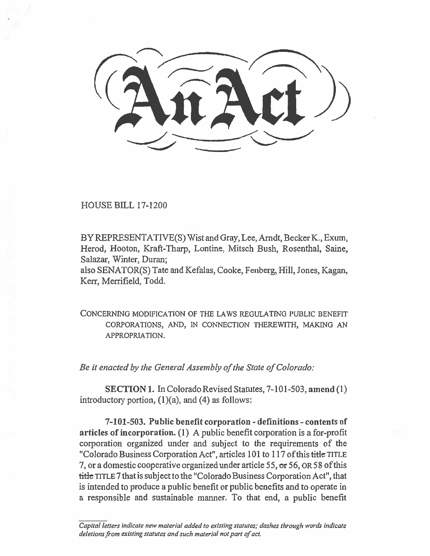HOUSE BILL 17-1200

BY REPRESENTATIVE(S) Wist and Gray, Lee, Arndt, Becker K., Exum, Herod, Hooton, Kraft-Tharp, Lontine, Mitsch Bush, Rosenthal, Saine, Salazar, Winter, Duran;

also SENATOR(S) Tate and Kefalas, Cooke, Fenberg, Hill, Jones, Kagan, Kerr, Merrifield, Todd.

CONCERNING MODIFICATION OF THE LAWS REGULATING PUBLIC BENEFIT CORPORATIONS, AND, IN CONNECTION THEREWITH, MAKING AN APPROPRIATION.

*Be it enacted by the General Assembly of the State of Colorado:* 

**SECTION 1.** In Colorado Revised Statutes, 7-101-503, **amend** (1) introductory portion,  $(1)(a)$ , and  $(4)$  as follows:

**7-101-503. Public benefit corporation - definitions - contents of articles of incorporation. (1)** A public benefit corporation is a for-profit corporation organized under and subject to the requirements of the "Colorado Business Corporation Act", articles 101 to 117 of this title TITLE 7, or a domestic cooperative organized under article 55, or 56, OR 58 of this **title** TITLE 7 that is subject to the "Colorado Business Corporation Act", that is intended to produce a public benefit or public benefits and to operate in a responsible and sustainable manner. To that end, a public benefit

*Capital letters indicate new material added to existing statutes; dashes through words indicate deletions from existing statutes and such material not part of act.*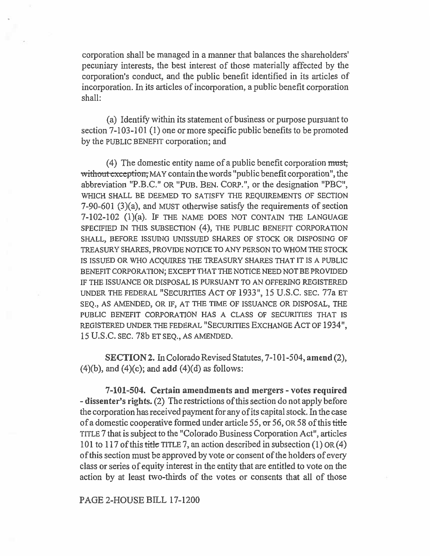corporation shall be managed in a manner that balances the shareholders' pecuniary interests, the best interest of those materially affected by the corporation's conduct, and the public benefit identified in its articles of incorporation. In its articles of incorporation, a public benefit corporation shall:

(a) Identify within its statement of business or purpose pursuant to section 7-103-101 (1) one or more specific public benefits to be promoted by the PUBLIC BENEFIT corporation; and

(4) The domestic entity name of a public benefit corporation must; without exception, MAY contain the words "public benefit corporation", the abbreviation "P.B.C." OR "PUB. BEN. CORP.", or the designation "PBC", WHICH SHALL BE DEEMED TO SATISFY THE REQUIREMENTS OF SECTION 7-90-601 (3)(a), and MUST otherwise satisfy the requirements of section 7-102-102 (1)(a). IF THE NAME DOES NOT CONTAIN THE LANGUAGE SPECIFIED IN THIS SUBSECTION (4), THE PUBLIC BENEFIT CORPORATION SHALL, BEFORE ISSUING UNISSUED SHARES OF STOCK OR DISPOSING OF TREASURY SHARES, PROVIDE NOTICE TO ANY PERSON TO WHOM THE STOCK IS ISSUED OR WHO ACQUIRES THE TREASURY SHARES THAT IT IS A PUBLIC BENEFIT CORPORATION; EXCEPT THAT THE NOTICE NEED NOT BE PROVIDED IF THE ISSUANCE OR DISPOSAL IS PURSUANT TO AN OFFERING REGISTERED UNDER THE FEDERAL "SECURITIES ACT OF 1933", 15 U.S.C. SEC. 77a ET SEQ., AS AMENDED, OR IF, AT THE TIME OF ISSUANCE OR DISPOSAL, THE PUBLIC BENEFIT CORPORATION HAS A CLASS OF SECURITIES THAT IS REGISTERED UNDER THE FEDERAL "SECURITIES EXCHANGE ACT OF 1934", 15 U.S.C. SEC. 78b ET SEQ., AS AMENDED.

**SECTION 2.** In Colorado Revised Statutes, 7-101-504, **amend** (2), (4)(b), and (4)(c); and **add** (4)(d) as follows:

**7-101-504. Certain amendments and mergers - votes required - dissenter's rights.** (2) The restrictions of this section do not apply before the corporation has received payment for any of its capital stock. In the case of a domestic cooperative formed under article 55, or 56, OR 58 of this title TITLE 7 that is subject to the "Colorado Business Corporation Act", articles 101 to 117 of this title TITLE 7, an action described in subsection (1) OR (4) of this section must be approved by vote or consent of the holders of every class or series of equity interest in the entity that are entitled to vote on the action by at least two-thirds of the votes or consents that all of those

PAGE 2-HOUSE BILL 17-1200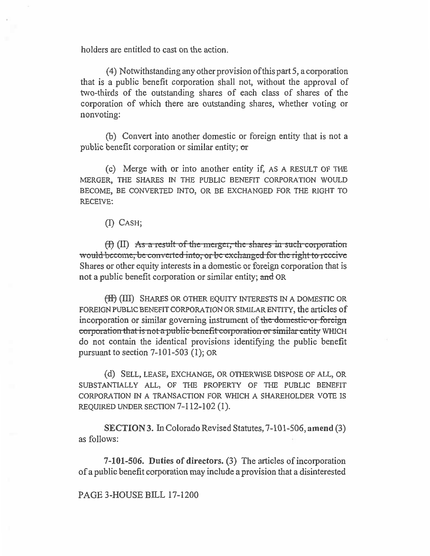holders are entitled to cast on the action.

(4) Notwithstanding any other provision ofthis part 5, a corporation that is a public benefit corporation shall not, without the approval of two-thirds of the outstanding shares of each class of shares of the corporation of which there are outstanding shares, whether voting or nonvoting:

(b) Convert into another domestic or foreign entity that is not a public benefit corporation or similar entity; or

(c) Merge with or into another entity if, AS A RESULT OF THE MERGER, THE SHARES IN THE PUBLIC BENEFIT CORPORATION WOULD BECOME, BE CONVERTED INTO, OR BE EXCHANGED FOR THE RIGHT TO RECEIVE:

(I) CASH;

(f) (II) As a result of the merger, the shares in such corporation would become, be converted into, or be exchanged for the right to receive Shares or other equity interests in a domestic or foreign corporation that is not a public benefit corporation or similar entity; and OR

(H) (III) SHARES OR OTHER EQUITY INTERESTS IN A DOMESTIC OR FOREIGN PUBLIC BENEFIT CORPORATION OR SIMILAR ENTITY, the articles of incorporation or similar governing instrument of the domestic or foreign **corporation that is not a public-benefit corporation or similar entity** WHICH do not contain the identical provisions identifying the public benefit pursuant to section 7-101-503 (1); OR

(d) SELL, LEASE, EXCHANGE, OR OTHERWISE DISPOSE OF ALL, OR SUBSTANTIALLY ALL, OF THE PROPERTY OF THE PUBLIC BENEFIT CORPORATION IN A TRANSACTION FOR WHICH A SHAREHOLDER VOTE IS REQUIRED UNDER SECTION 7-112-102 (1).

**SECTION 3.** In Colorado Revised Statutes, 7-101-506, **amend** (3) as follows:

**7-101-506. Duties of directors. (3) The articles of incorporation of a public benefit corporation may include a provision that a disinterested** 

PAGE 3-HOUSE BILL 17-1200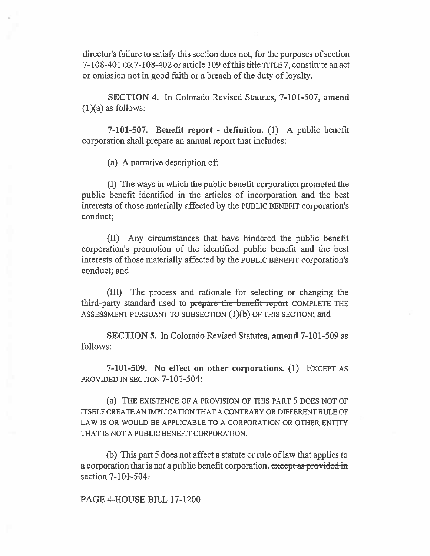director's failure to satisfy this section does not, for the purposes of section 7-108-401 OR 7-108-402 or article 109 of this title TITLE 7, constitute an act or omission not in good faith or a breach of the duty of loyalty.

SECTION 4. In Colorado Revised Statutes, 7-101-507, **amend**   $(1)(a)$  as follows:

**7-101-507. Benefit report - definition.** (1) A public benefit corporation shall prepare an annual report that includes:

(a) A narrative description of:

(I) The ways in which the public benefit corporation promoted the public benefit identified in the articles of incorporation and the best interests of those materially affected by the PUBLIC BENEFIT corporation's conduct;

(II) Any circumstances that have hindered the public benefit corporation's promotion of the identified public benefit and the best interests of those materially affected by the PUBLIC BENEFIT corporation's conduct; and

(III) The process and rationale for selecting or changing the third-party standard used to prepare the benefit report COMPLETE THE ASSESSMENT PURSUANT TO SUBSECTION (1)(b) OF THIS SECTION; and

**SECTION 5.** In Colorado Revised Statutes, **amend** 7-101-509 as follows:

**7-101-509. No effect on other corporations. (1)** EXCEPT AS PROVIDED IN SECTION 7-101-504:

(a) THE EXISTENCE OF A PROVISION OF THIS PART 5 DOES NOT OF ITSELF CREATE AN IMPLICATION THAT A CONTRARY OR DIFFERENT RULE OF LAW IS OR WOULD BE APPLICABLE TO A CORPORATION OR OTHER ENTITY THAT IS NOT A PUBLIC BENEFIT CORPORATION.

(b) This part 5 does not affect a statute or rule of law that applies to a corporation that is not a public benefit corporation. except as provided in section 7-101-504.

PAGE 4-HOUSE BILL 17-1200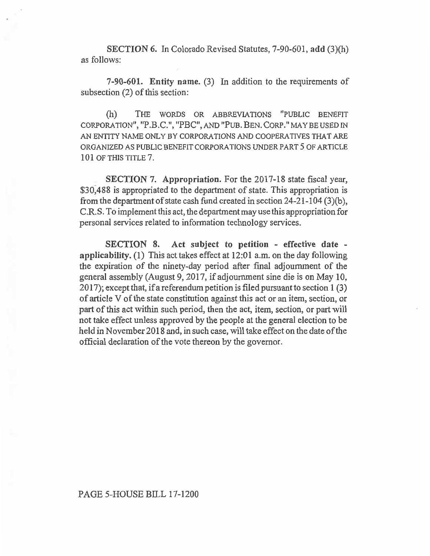**SECTION 6. In Colorado Revised Statutes,** 7-90-601, **add (3)(h) as follows:** 

**7-90-601. Entity name. (3) In addition to the requirements** of subsection (2) of this section:

(h) THE WORDS OR ABBREVIATIONS "PUBLIC BENEFIT CORPORATION", "P.B.C.", "PBC", AND "PUB. BEN. CORP." MAY BE USED IN AN ENTITY NAME ONLY BY CORPORATIONS AND COOPERATIVES THAT ARE ORGANIZED AS PUBLIC BENEFIT CORPORATIONS UNDER PART 5 OF ARTICLE 101 OF THIS TITLE 7.

**SECTION 7. Appropriation. For the 2017-18 state fiscal year, \$30,488 is appropriated to the department of state. This appropriation is from the department of state cash fund created in section 24-21-104 (3)(b), C.R.S. To implement this act, the department may use this appropriation for personal services related to information technology services.** 

**SECTION 8. Act subject to petition - effective date applicability. (1) This act takes effect at 12:01 a.m. on the day following the expiration of the ninety-day period after final adjournment of the general assembly (August 9, 2017, if adjournment sine die is on May 10, 2017); except that, if a referendum petition is filed pursuant to section 1 (3) of article V of the state constitution against this act or an item, section, or part of this act within such period, then the act, item, section, or part will not take effect unless approved by the people at the general election to be held in November 2018 and, in such case, will take effect on the date of the official declaration of the vote thereon by the governor.**